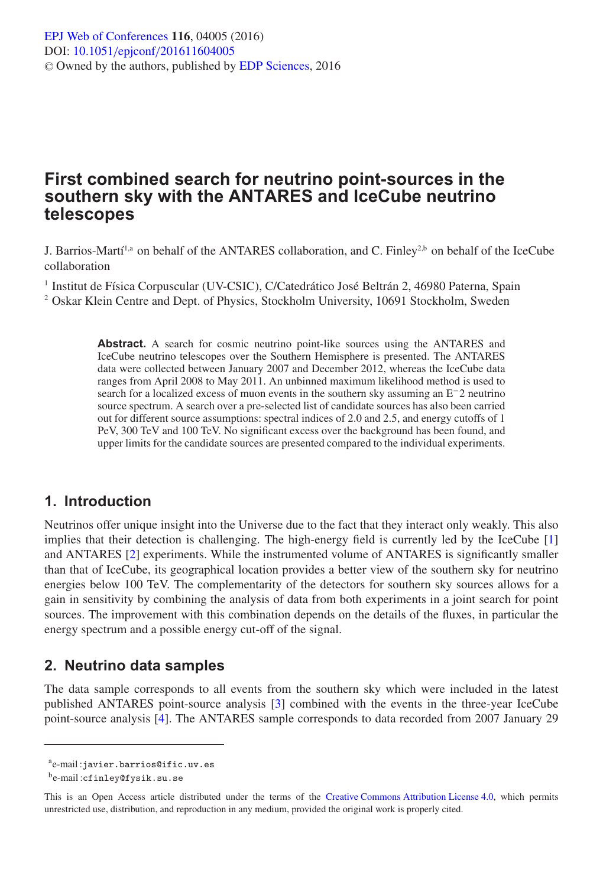# **First combined search for neutrino point-sources in the southern sky with the ANTARES and IceCube neutrino telescopes**

J. Barrios-Martí<sup>1,a</sup> on behalf of the ANTARES collaboration, and C. Finley<sup>2,b</sup> on behalf of the IceCube collaboration

<sup>1</sup> Institut de Física Corpuscular (UV-CSIC), C/Catedrático José Beltrán 2, 46980 Paterna, Spain <sup>2</sup> Oskar Klein Centre and Dept. of Physics, Stockholm University, 10691 Stockholm, Sweden

> **Abstract.** A search for cosmic neutrino point-like sources using the ANTARES and IceCube neutrino telescopes over the Southern Hemisphere is presented. The ANTARES data were collected between January 2007 and December 2012, whereas the IceCube data ranges from April 2008 to May 2011. An unbinned maximum likelihood method is used to search for a localized excess of muon events in the southern sky assuming an E−2 neutrino source spectrum. A search over a pre-selected list of candidate sources has also been carried out for different source assumptions: spectral indices of 2.0 and 2.5, and energy cutoffs of 1 PeV, 300 TeV and 100 TeV. No significant excess over the background has been found, and upper limits for the candidate sources are presented compared to the individual experiments.

## **1. Introduction**

Neutrinos offer unique insight into the Universe due to the fact that they interact only weakly. This also implies that their detection is challenging. The high-energy field is currently led by the IceCube [\[1](#page-3-0)] and ANTARES [\[2\]](#page-3-1) experiments. While the instrumented volume of ANTARES is significantly smaller than that of IceCube, its geographical location provides a better view of the southern sky for neutrino energies below 100 TeV. The complementarity of the detectors for southern sky sources allows for a gain in sensitivity by combining the analysis of data from both experiments in a joint search for point sources. The improvement with this combination depends on the details of the fluxes, in particular the energy spectrum and a possible energy cut-off of the signal.

## **2. Neutrino data samples**

The data sample corresponds to all events from the southern sky which were included in the latest published ANTARES point-source analysis [\[3\]](#page-3-2) combined with the events in the three-year IceCube point-source analysis [\[4\]](#page-3-3). The ANTARES sample corresponds to data recorded from 2007 January 29

ae-mail :javier.barrios@ific.uv.es

be-mail :cfinley@fysik.su.se

This is an Open Access article distributed under the terms of the [Creative Commons Attribution License 4.0,](http://creativecommons.org/licenses/by/4.0/) which permits unrestricted use, distribution, and reproduction in any medium, provided the original work is properly cited.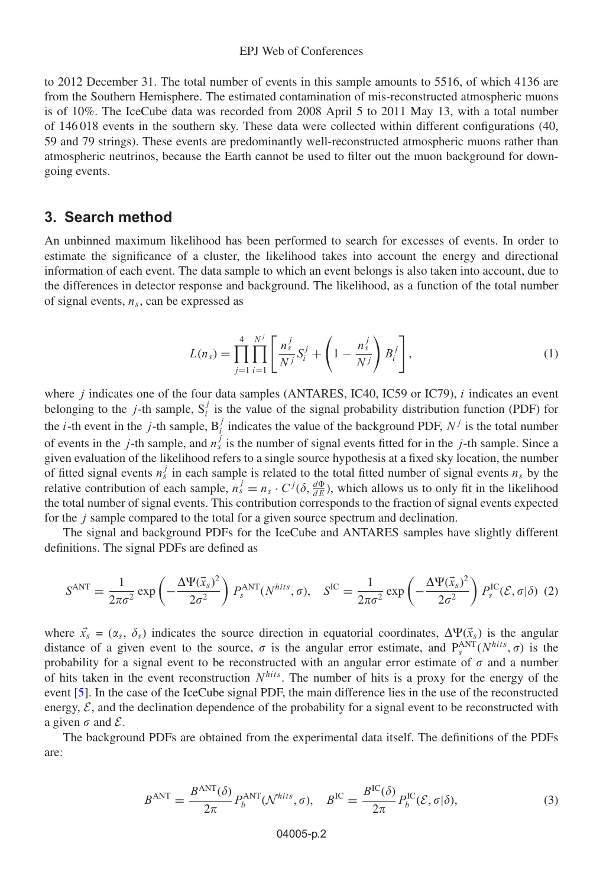#### EPJ Web of Conferences

to 2012 December 31. The total number of events in this sample amounts to 5516, of which 4136 are from the Southern Hemisphere. The estimated contamination of mis-reconstructed atmospheric muons is of 10%. The IceCube data was recorded from 2008 April 5 to 2011 May 13, with a total number of 146 018 events in the southern sky. These data were collected within different configurations (40, 59 and 79 strings). These events are predominantly well-reconstructed atmospheric muons rather than atmospheric neutrinos, because the Earth cannot be used to filter out the muon background for downgoing events.

### **3. Search method**

An unbinned maximum likelihood has been performed to search for excesses of events. In order to estimate the significance of a cluster, the likelihood takes into account the energy and directional information of each event. The data sample to which an event belongs is also taken into account, due to the differences in detector response and background. The likelihood, as a function of the total number of signal events,  $n<sub>s</sub>$ , can be expressed as

$$
L(n_s) = \prod_{j=1}^{4} \prod_{i=1}^{N^j} \left[ \frac{n_s^j}{N^j} S_i^j + \left( 1 - \frac{n_s^j}{N^j} \right) B_i^j \right],
$$
 (1)

<span id="page-1-0"></span>where *j* indicates one of the four data samples (ANTARES, IC40, IC59 or IC79), *i* indicates an event belonging to the *j*-th sample,  $S_i^j$  is the value of the signal probability distribution function (PDF) for the *i*-th event in the *j*-th sample,  $B_i^j$  indicates the value of the background PDF,  $N^j$  is the total number of events in the *j*-th sample, and  $n_s^j$  is the number of signal events fitted for in the *j*-th sample. Since a given evaluation of the likelihood refers to a single source hypothesis at a fixed sky location, the number of fitted signal events  $n_s^j$  in each sample is related to the total fitted number of signal events  $n_s$  by the relative contribution of each sample,  $n_s^j = n_s \cdot C^j(\delta, \frac{d\Phi}{dE})$ , which allows us to only fit in the likelihood the total number of signal events. This contribution corresponds to the fraction of signal events expected for the j sample compared to the total for a given source spectrum and declination.

The signal and background PDFs for the IceCube and ANTARES samples have slightly different definitions. The signal PDFs are defined as

$$
S^{\text{ANT}} = \frac{1}{2\pi\sigma^2} \exp\left(-\frac{\Delta \Psi(\vec{x}_s)^2}{2\sigma^2}\right) P_s^{\text{ANT}}(N^{hits}, \sigma), \quad S^{\text{IC}} = \frac{1}{2\pi\sigma^2} \exp\left(-\frac{\Delta \Psi(\vec{x}_s)^2}{2\sigma^2}\right) P_s^{\text{IC}}(\mathcal{E}, \sigma|\delta) \tag{2}
$$

where  $\vec{x}_s = (\alpha_s, \delta_s)$  indicates the source direction in equatorial coordinates,  $\Delta \Psi(\vec{x}_s)$  is the angular distance of a given event to the source,  $\sigma$  is the angular error estimate, and  $P_s^{ANT}(N^{hits}, \sigma)$  is the probability for a signal event to be reconstructed with an angular error estimate of  $\sigma$  and a number of hits taken in the event reconstruction  $N^{hits}$ . The number of hits is a proxy for the energy of the event [\[5](#page-3-4)]. In the case of the IceCube signal PDF, the main difference lies in the use of the reconstructed energy,  $\mathcal{E}$ , and the declination dependence of the probability for a signal event to be reconstructed with a given  $\sigma$  and  $\mathcal{E}$ .

The background PDFs are obtained from the experimental data itself. The definitions of the PDFs are:

$$
B^{\text{ANT}} = \frac{B^{\text{ANT}}(\delta)}{2\pi} P_b^{\text{ANT}}(\mathcal{N}^{hits}, \sigma), \quad B^{\text{IC}} = \frac{B^{\text{IC}}(\delta)}{2\pi} P_b^{\text{IC}}(\mathcal{E}, \sigma | \delta), \tag{3}
$$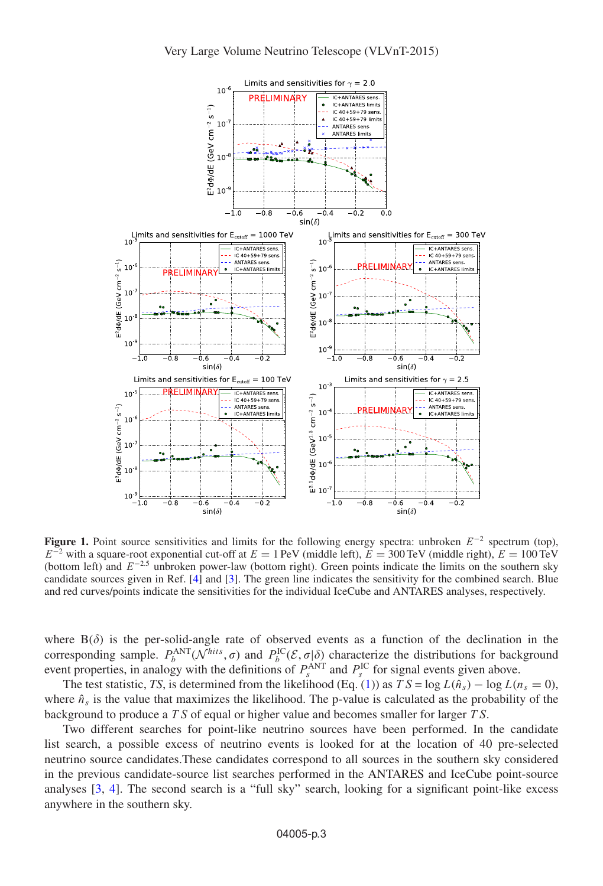<span id="page-2-0"></span>

**Figure 1.** Point source sensitivities and limits for the following energy spectra: unbroken  $E^{-2}$  spectrum (top),  $E^{-2}$  with a square-root exponential cut-off at  $E = 1$  PeV (middle left),  $E = 300$  TeV (middle right),  $E = 100$  TeV (bottom left) and  $E^{-2.5}$  unbroken power-law (bottom right). Green points indicate the limits on the southern sky candidate sources given in Ref. [\[4\]](#page-3-3) and [\[3](#page-3-2)]. The green line indicates the sensitivity for the combined search. Blue and red curves/points indicate the sensitivities for the individual IceCube and ANTARES analyses, respectively.

where  $B(\delta)$  is the per-solid-angle rate of observed events as a function of the declination in the corresponding sample.  $P_b^{\text{ANT}}(\mathcal{N}^{hits}, \sigma)$  and  $P_b^{\text{IC}}(\mathcal{E}, \sigma|\delta)$  characterize the distributions for background event properties, in analogy with the definitions of  $P_s^{\text{ANT}}$  and  $P_s^{\text{IC}}$  for signal events given above.

The test statistic, *TS*, is determined from the likelihood (Eq. [\(1\)](#page-1-0)) as  $TS = \log L(\hat{n}_s) - \log L(n_s = 0)$ , where  $\hat{n}_s$  is the value that maximizes the likelihood. The p-value is calculated as the probability of the background to produce a T S of equal or higher value and becomes smaller for larger T S.

Two different searches for point-like neutrino sources have been performed. In the candidate list search, a possible excess of neutrino events is looked for at the location of 40 pre-selected neutrino source candidates.These candidates correspond to all sources in the southern sky considered in the previous candidate-source list searches performed in the ANTARES and IceCube point-source analyses [\[3](#page-3-2), [4](#page-3-3)]. The second search is a "full sky" search, looking for a significant point-like excess anywhere in the southern sky.